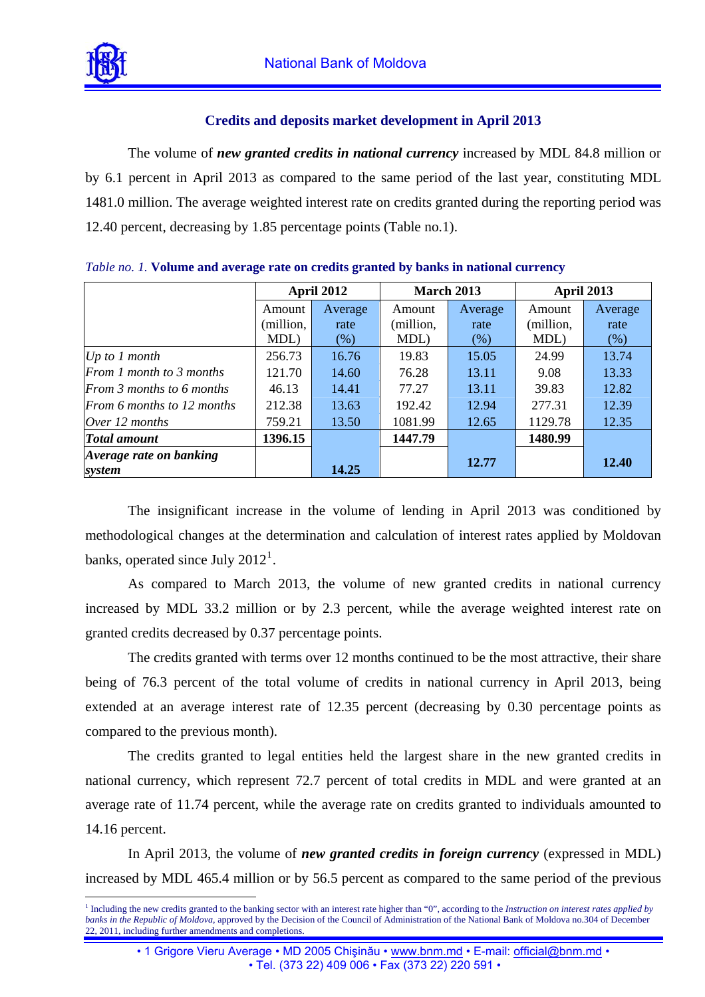

 $\overline{a}$ 

## **Credits and deposits market development in April 2013**

The volume of *new granted credits in national currency* increased by MDL 84.8 million or by 6.1 percent in April 2013 as compared to the same period of the last year, constituting MDL 1481.0 million. The average weighted interest rate on credits granted during the reporting period was 12.40 percent, decreasing by 1.85 percentage points (Table no.1).

|                                   | <b>April 2012</b> |         | <b>March 2013</b> |         | <b>April 2013</b> |         |
|-----------------------------------|-------------------|---------|-------------------|---------|-------------------|---------|
|                                   | Amount            | Average | Amount            | Average | Amount            | Average |
|                                   | (million,         | rate    | (million,         | rate    | (million,         | rate    |
|                                   | MDL)              | $(\% )$ | MDL)              | (% )    | MDL)              | (% )    |
| Up to $1$ month                   | 256.73            | 16.76   | 19.83             | 15.05   | 24.99             | 13.74   |
| From 1 month to 3 months          | 121.70            | 14.60   | 76.28             | 13.11   | 9.08              | 13.33   |
| From 3 months to 6 months         | 46.13             | 14.41   | 77.27             | 13.11   | 39.83             | 12.82   |
| From 6 months to 12 months        | 212.38            | 13.63   | 192.42            | 12.94   | 277.31            | 12.39   |
| Over $12$ months                  | 759.21            | 13.50   | 1081.99           | 12.65   | 1129.78           | 12.35   |
| <b>Total amount</b>               | 1396.15           |         | 1447.79           |         | 1480.99           |         |
| Average rate on banking<br>system |                   | 14.25   |                   | 12.77   |                   | 12.40   |

*Table no. 1.* **Volume and average rate on credits granted by banks in national currency**

The insignificant increase in the volume of lending in April 2013 was conditioned by methodological changes at the determination and calculation of interest rates applied by Moldovan banks, operated since July  $2012^1$  $2012^1$  $2012^1$ .

As compared to March 2013, the volume of new granted credits in national currency increased by MDL 33.2 million or by 2.3 percent, while the average weighted interest rate on granted credits decreased by 0.37 percentage points.

The credits granted with terms over 12 months continued to be the most attractive, their share being of 76.3 percent of the total volume of credits in national currency in April 2013, being extended at an average interest rate of 12.35 percent (decreasing by 0.30 percentage points as compared to the previous month).

The credits granted to legal entities held the largest share in the new granted credits in national currency, which represent 72.7 percent of total credits in MDL and were granted at an average rate of 11.74 percent, while the average rate on credits granted to individuals amounted to 14.16 percent.

In April 2013, the volume of *new granted credits in foreign currency* (expressed in MDL) increased by MDL 465.4 million or by 56.5 percent as compared to the same period of the previous

<span id="page-0-0"></span><sup>&</sup>lt;sup>1</sup> Including the new credits granted to the banking sector with an interest rate higher than "0", according to the *Instruction on interest rates applied by banks in the Republic of Moldova*, approved by the Decision of the Council of Administration of the National Bank of Moldova no.304 of December 22, 2011, including further amendments and completions.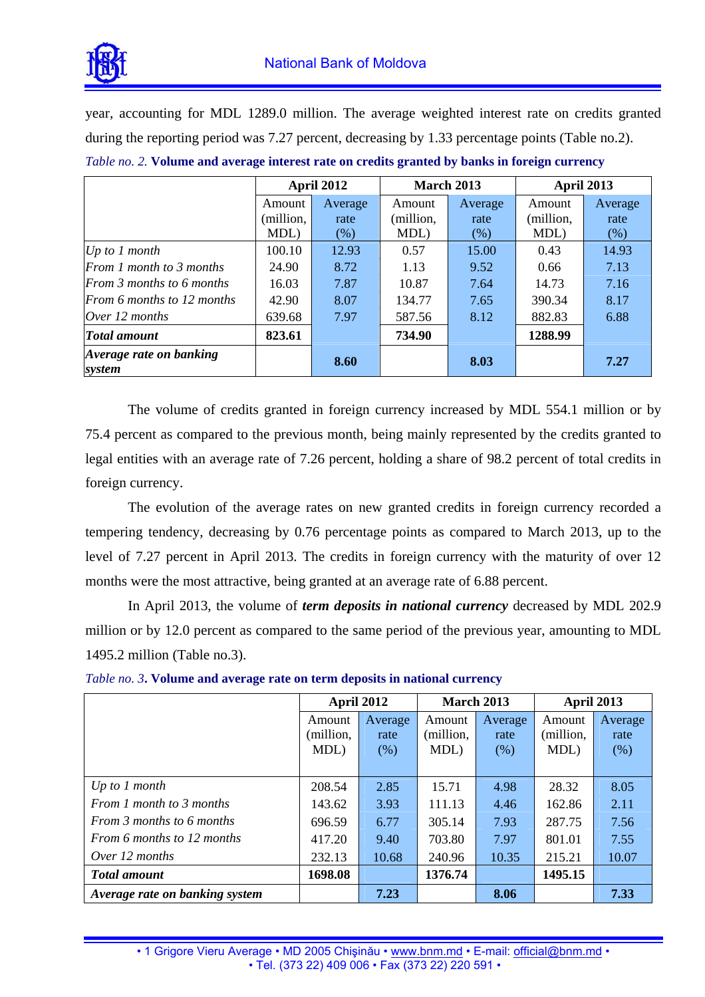

year, accounting for MDL 1289.0 million. The average weighted interest rate on credits granted during the reporting period was 7.27 percent, decreasing by 1.33 percentage points (Table no.2).

|                                   | <b>April 2012</b> |         | <b>March 2013</b> |         | April 2013 |         |
|-----------------------------------|-------------------|---------|-------------------|---------|------------|---------|
|                                   | Amount            | Average | Amount            | Average | Amount     | Average |
|                                   | (million,         | rate    | (million,         | rate    | (million,  | rate    |
|                                   | MDL)              | $(\% )$ | MDL)              | (% )    | MDL)       | (% )    |
| Up to $1$ month                   | 100.10            | 12.93   | 0.57              | 15.00   | 0.43       | 14.93   |
| From 1 month to 3 months          | 24.90             | 8.72    | 1.13              | 9.52    | 0.66       | 7.13    |
| From 3 months to 6 months         | 16.03             | 7.87    | 10.87             | 7.64    | 14.73      | 7.16    |
| From 6 months to 12 months        | 42.90             | 8.07    | 134.77            | 7.65    | 390.34     | 8.17    |
| Over 12 months                    | 639.68            | 7.97    | 587.56            | 8.12    | 882.83     | 6.88    |
| <b>Total amount</b>               | 823.61            |         | 734.90            |         | 1288.99    |         |
| Average rate on banking<br>system |                   | 8.60    |                   | 8.03    |            | 7.27    |

*Table no. 2.* **Volume and average interest rate on credits granted by banks in foreign currency**

The volume of credits granted in foreign currency increased by MDL 554.1 million or by 75.4 percent as compared to the previous month, being mainly represented by the credits granted to legal entities with an average rate of 7.26 percent, holding a share of 98.2 percent of total credits in foreign currency.

The evolution of the average rates on new granted credits in foreign currency recorded a tempering tendency, decreasing by 0.76 percentage points as compared to March 2013, up to the level of 7.27 percent in April 2013. The credits in foreign currency with the maturity of over 12 months were the most attractive, being granted at an average rate of 6.88 percent.

In April 2013, the volume of *term deposits in national currency* decreased by MDL 202.9 million or by 12.0 percent as compared to the same period of the previous year, amounting to MDL 1495.2 million (Table no.3).

|                                | <b>April 2012</b> |         | March 2013 |         | April 2013 |         |
|--------------------------------|-------------------|---------|------------|---------|------------|---------|
|                                | Amount            | Average | Amount     | Average | Amount     | Average |
|                                | (million,         | rate    | (million,  | rate    | (million,  | rate    |
|                                | MDL)              | (% )    | MDL)       | (% )    | MDL)       | (% )    |
|                                |                   |         |            |         |            |         |
| Up to $1$ month                | 208.54            | 2.85    | 15.71      | 4.98    | 28.32      | 8.05    |
| From 1 month to 3 months       | 143.62            | 3.93    | 111.13     | 4.46    | 162.86     | 2.11    |
| From 3 months to 6 months      | 696.59            | 6.77    | 305.14     | 7.93    | 287.75     | 7.56    |
| From 6 months to 12 months     | 417.20            | 9.40    | 703.80     | 7.97    | 801.01     | 7.55    |
| Over 12 months                 | 232.13            | 10.68   | 240.96     | 10.35   | 215.21     | 10.07   |
| <b>Total amount</b>            | 1698.08           |         | 1376.74    |         | 1495.15    |         |
| Average rate on banking system |                   | 7.23    |            | 8.06    |            | 7.33    |

*Table no. 3***. Volume and average rate on term deposits in national currency**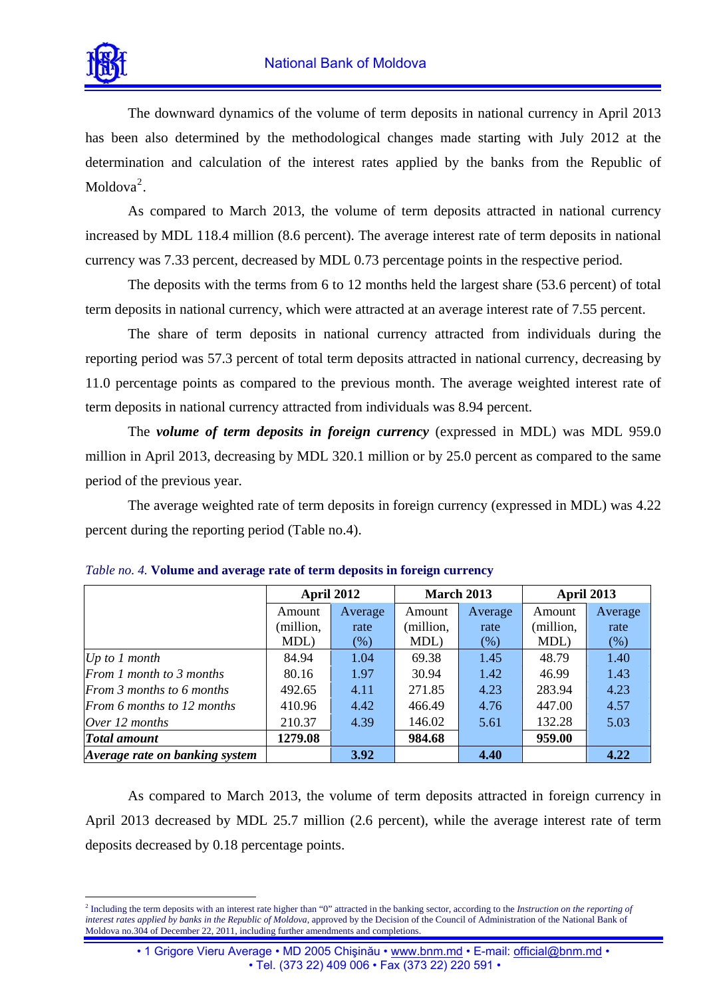

 $\overline{a}$ 

The downward dynamics of the volume of term deposits in national currency in April 2013 has been also determined by the methodological changes made starting with July 2012 at the determination and calculation of the interest rates applied by the banks from the Republic of Moldova $2$ .

As compared to March 2013, the volume of term deposits attracted in national currency increased by MDL 118.4 million (8.6 percent). The average interest rate of term deposits in national currency was 7.33 percent, decreased by MDL 0.73 percentage points in the respective period.

The deposits with the terms from 6 to 12 months held the largest share (53.6 percent) of total term deposits in national currency, which were attracted at an average interest rate of 7.55 percent.

The share of term deposits in national currency attracted from individuals during the reporting period was 57.3 percent of total term deposits attracted in national currency, decreasing by 11.0 percentage points as compared to the previous month. The average weighted interest rate of term deposits in national currency attracted from individuals was 8.94 percent.

The *volume of term deposits in foreign currency* (expressed in MDL) was MDL 959.0 million in April 2013, decreasing by MDL 320.1 million or by 25.0 percent as compared to the same period of the previous year.

The average weighted rate of term deposits in foreign currency (expressed in MDL) was 4.22 percent during the reporting period (Table no.4).

|                                | <b>April 2012</b> |             |           | <b>March 2013</b> | <b>April 2013</b> |         |
|--------------------------------|-------------------|-------------|-----------|-------------------|-------------------|---------|
|                                | Amount            | Average     | Amount    | Average           | Amount            | Average |
|                                | (million,         | rate        | (million, | rate              | (million,         | rate    |
|                                | MDL)              | $(\%)$      | MDL)      | $(\%)$            | MDL)              | (% )    |
| $Up\ to\ I\ month$             | 84.94             | 1.04        | 69.38     | 1.45              | 48.79             | 1.40    |
| From 1 month to 3 months       | 80.16             | 1.97        | 30.94     | 1.42              | 46.99             | 1.43    |
| From 3 months to 6 months      | 492.65            | 4.11        | 271.85    | 4.23              | 283.94            | 4.23    |
| From 6 months to 12 months     | 410.96            | 4.42        | 466.49    | 4.76              | 447.00            | 4.57    |
| Over 12 months                 | 210.37            | 4.39        | 146.02    | 5.61              | 132.28            | 5.03    |
| <b>Total amount</b>            | 1279.08           |             | 984.68    |                   | 959.00            |         |
| Average rate on banking system |                   | <b>3.92</b> |           | 4.40              |                   | 4.22    |

|  | Table no. 4. Volume and average rate of term deposits in foreign currency |  |  |
|--|---------------------------------------------------------------------------|--|--|
|  |                                                                           |  |  |

As compared to March 2013, the volume of term deposits attracted in foreign currency in April 2013 decreased by MDL 25.7 million (2.6 percent), while the average interest rate of term deposits decreased by 0.18 percentage points.

<span id="page-2-0"></span><sup>2</sup> Including the term deposits with an interest rate higher than "0" attracted in the banking sector, according to the *Instruction on the reporting of interest rates applied by banks in the Republic of Moldova*, approved by the Decision of the Council of Administration of the National Bank of Moldova no.304 of December 22, 2011, including further amendments and completions.